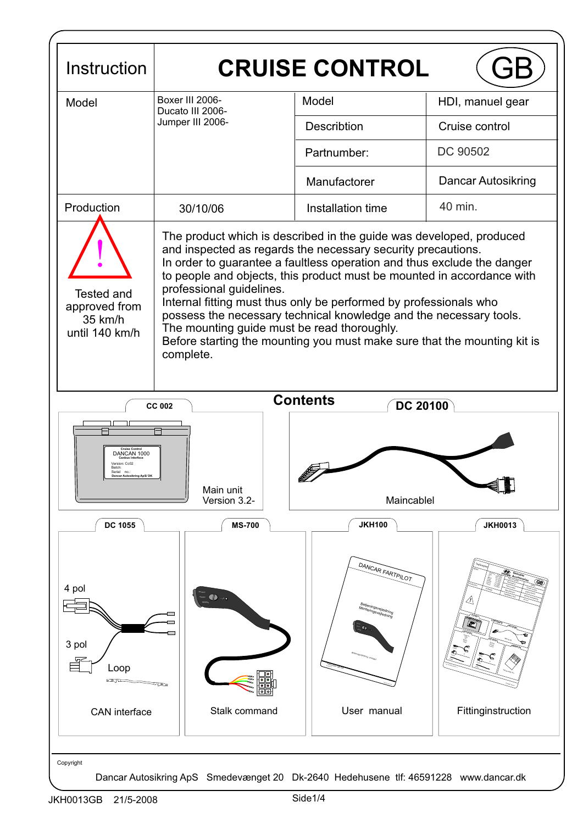| Instruction                                                                                                                         | <b>CRUISE CONTROL</b>                                                                                                                                                                                                                                                                                                                                                                                                                                                                                                                                                                                   |                                                                               |                         |  |  |  |  |  |
|-------------------------------------------------------------------------------------------------------------------------------------|---------------------------------------------------------------------------------------------------------------------------------------------------------------------------------------------------------------------------------------------------------------------------------------------------------------------------------------------------------------------------------------------------------------------------------------------------------------------------------------------------------------------------------------------------------------------------------------------------------|-------------------------------------------------------------------------------|-------------------------|--|--|--|--|--|
| Model                                                                                                                               | Boxer III 2006-<br>Ducato III 2006-<br>Jumper III 2006-                                                                                                                                                                                                                                                                                                                                                                                                                                                                                                                                                 | Model                                                                         | HDI, manuel gear        |  |  |  |  |  |
|                                                                                                                                     |                                                                                                                                                                                                                                                                                                                                                                                                                                                                                                                                                                                                         | Describtion                                                                   | Cruise control          |  |  |  |  |  |
|                                                                                                                                     |                                                                                                                                                                                                                                                                                                                                                                                                                                                                                                                                                                                                         | Partnumber:                                                                   | DC 90502                |  |  |  |  |  |
|                                                                                                                                     |                                                                                                                                                                                                                                                                                                                                                                                                                                                                                                                                                                                                         | Manufactorer                                                                  | Dancar Autosikring      |  |  |  |  |  |
| Production                                                                                                                          | 30/10/06                                                                                                                                                                                                                                                                                                                                                                                                                                                                                                                                                                                                | Installation time                                                             | 40 min.                 |  |  |  |  |  |
| <b>Tested and</b><br>approved from<br>35 km/h<br>until 140 km/h                                                                     | The product which is described in the guide was developed, produced<br>and inspected as regards the necessary security precautions.<br>In order to guarantee a faultless operation and thus exclude the danger<br>to people and objects, this product must be mounted in accordance with<br>professional guidelines.<br>Internal fitting must thus only be performed by professionals who<br>possess the necessary technical knowledge and the necessary tools.<br>The mounting guide must be read thoroughly.<br>Before starting the mounting you must make sure that the mounting kit is<br>complete. |                                                                               |                         |  |  |  |  |  |
| <b>Contents</b><br><b>DC 20100</b><br><b>CC 002</b><br>DANCAN 1000<br>Version: Cc02<br>Batch<br>Serial<br>Dancar Autosikring ApS/DK |                                                                                                                                                                                                                                                                                                                                                                                                                                                                                                                                                                                                         |                                                                               |                         |  |  |  |  |  |
|                                                                                                                                     | Main unit<br>Version 3.2-                                                                                                                                                                                                                                                                                                                                                                                                                                                                                                                                                                               | EZ (<br>Maincablel                                                            |                         |  |  |  |  |  |
| <b>DC 1055</b>                                                                                                                      | <b>MS-700</b>                                                                                                                                                                                                                                                                                                                                                                                                                                                                                                                                                                                           | <b>JKH100</b>                                                                 | <b>JKH0013</b>          |  |  |  |  |  |
| 4 pol<br>3 pol<br>Loop<br>CAN interface                                                                                             | ਬਰਾ<br>Stalk command                                                                                                                                                                                                                                                                                                                                                                                                                                                                                                                                                                                    | DANCAR FARTPILOT<br>Betjeningsvejledning<br>onteringsvejlednir<br>User manual | E<br>Fittinginstruction |  |  |  |  |  |
| Copyright<br>Dancar Autosikring ApS Smedevænget 20 Dk-2640 Hedehusene tlf: 46591228 www.dancar.dk                                   |                                                                                                                                                                                                                                                                                                                                                                                                                                                                                                                                                                                                         |                                                                               |                         |  |  |  |  |  |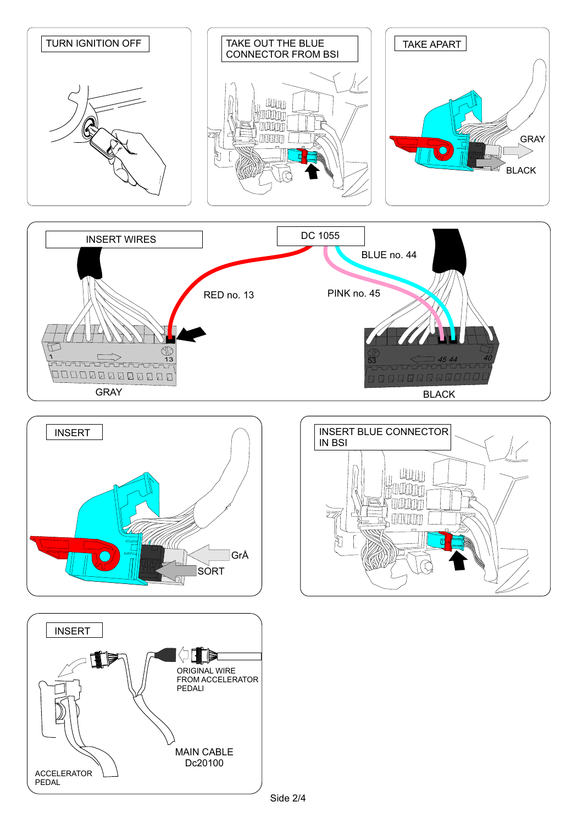







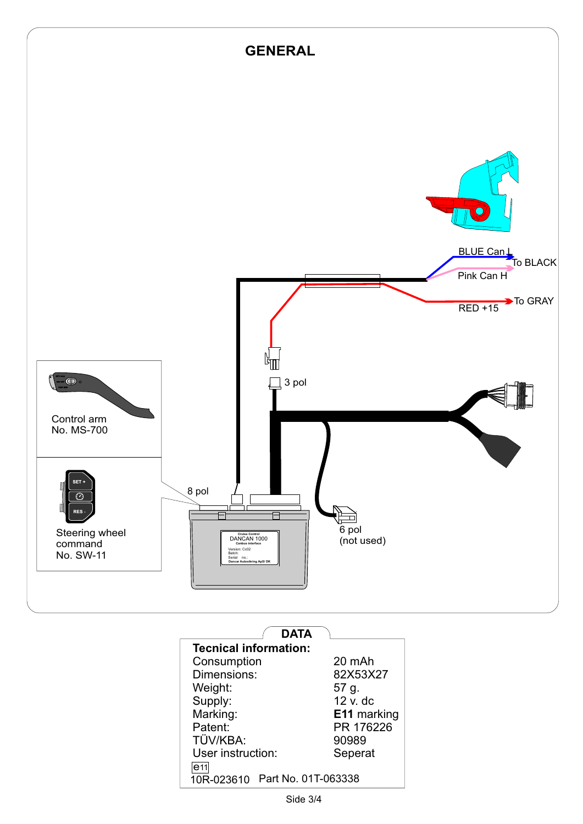

| DATA                           |                    |  |  |  |  |  |
|--------------------------------|--------------------|--|--|--|--|--|
| <b>Tecnical information:</b>   |                    |  |  |  |  |  |
| Consumption                    | 20 mAh             |  |  |  |  |  |
| Dimensions:                    | 82X53X27           |  |  |  |  |  |
| Weight:                        | 57 g.              |  |  |  |  |  |
| Supply:                        | 12 v. dc           |  |  |  |  |  |
| Marking:                       | <b>E11</b> marking |  |  |  |  |  |
| Patent:                        | PR 176226          |  |  |  |  |  |
| TÜV/KBA:                       | 90989              |  |  |  |  |  |
| User instruction:              | Seperat            |  |  |  |  |  |
| e <sub>11</sub>                |                    |  |  |  |  |  |
| 10R-023610 Part No. 01T-063338 |                    |  |  |  |  |  |